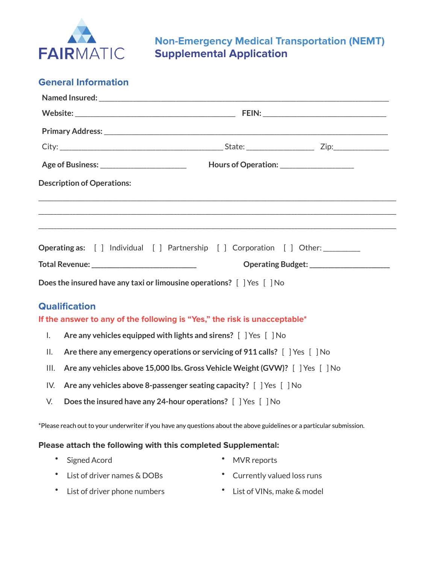

# **Non-Emergency Medical Transportation (NEMT) Supplemental Application**

| <b>General Information</b> |  |
|----------------------------|--|
|----------------------------|--|

| Age of Business: ______________________________  Hours of Operation: __________________                                |                                                                               |                                            |  |  |  |  |
|------------------------------------------------------------------------------------------------------------------------|-------------------------------------------------------------------------------|--------------------------------------------|--|--|--|--|
| <b>Description of Operations:</b>                                                                                      |                                                                               |                                            |  |  |  |  |
|                                                                                                                        |                                                                               |                                            |  |  |  |  |
| Operating as: [ ] Individual [ ] Partnership [ ] Corporation [ ] Other: _________                                      |                                                                               |                                            |  |  |  |  |
| Total Revenue: _________________________________                                                                       |                                                                               | Operating Budget: ________________________ |  |  |  |  |
| Does the insured have any taxi or limousine operations? [ ] Yes [ ] No                                                 |                                                                               |                                            |  |  |  |  |
| <b>Qualification</b>                                                                                                   |                                                                               |                                            |  |  |  |  |
| If the answer to any of the following is "Yes," the risk is unacceptable*                                              |                                                                               |                                            |  |  |  |  |
| Are any vehicles equipped with lights and sirens? [ ] Yes [ ] No<br>I.                                                 |                                                                               |                                            |  |  |  |  |
| Are there any emergency operations or servicing of 911 calls? [ ] Yes [ ] No<br>ΙΙ.                                    |                                                                               |                                            |  |  |  |  |
| III.                                                                                                                   | Are any vehicles above 15,000 lbs. Gross Vehicle Weight (GVW)? [ ] Yes [ ] No |                                            |  |  |  |  |
| Are any vehicles above 8-passenger seating capacity? [ ] Yes [ ] No<br>IV.                                             |                                                                               |                                            |  |  |  |  |
| Does the insured have any 24-hour operations? [ ] Yes [ ] No<br>V.                                                     |                                                                               |                                            |  |  |  |  |
| *Please reach out to your underwriter if you have any questions about the above guidelines or a particular submission. |                                                                               |                                            |  |  |  |  |
| Please attach the following with this completed Supplemental:                                                          |                                                                               |                                            |  |  |  |  |
| <b>Signed Acord</b>                                                                                                    | <b>MVR</b> reports                                                            |                                            |  |  |  |  |

- List of driver names & DOBs Currently valued loss runs
	-
- List of driver phone numbers List of VINs, make & model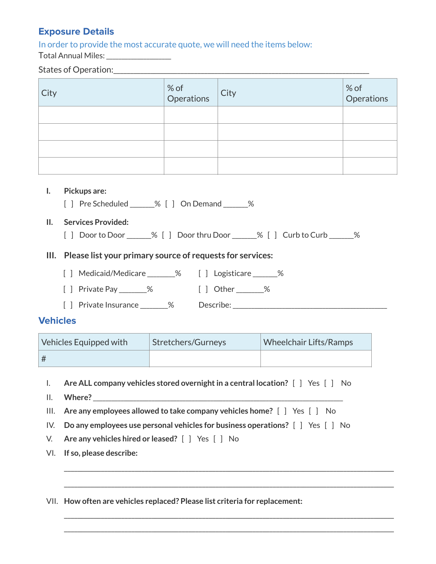# **Exposure Details**

In order to provide the most accurate quote, we will need the items below: Total Annual Miles: \_\_\_\_\_\_\_\_\_\_\_\_\_\_\_\_\_\_\_\_\_

#### States of Operation:\_\_\_\_\_\_\_\_\_\_\_\_\_\_\_\_\_\_\_\_\_\_\_\_\_\_\_\_\_\_\_\_\_\_\_\_\_\_\_\_\_\_\_\_\_\_\_\_\_\_\_\_\_\_\_\_\_\_\_\_\_\_\_\_\_\_\_\_\_\_\_\_\_\_\_\_

| City | % of<br>Operations | $ $ City | $\left  \begin{array}{c} \% \  \  \circ \  \end{array} \right $ Operations |
|------|--------------------|----------|----------------------------------------------------------------------------|
|      |                    |          |                                                                            |
|      |                    |          |                                                                            |
|      |                    |          |                                                                            |
|      |                    |          |                                                                            |

#### **I. Pickups are:**

[ ] Pre Scheduled \_\_\_\_\_\_% [ ] On Demand \_\_\_\_\_\_\_%

#### **II. Services Provided:**

[ ] Door to Door \_\_\_\_\_\_% [ ] Door thru Door \_\_\_\_\_\_% [ ] Curb to Curb \_\_\_\_\_%

#### **III. Please list your primary source of requests for services:**

- [ ] Medicaid/Medicare \_\_\_\_\_\_\_% [ ] Logisticare \_\_\_\_\_\_%
- [ ] Private Pay \_\_\_\_\_\_\_\_\_% [ ] Other \_\_\_\_\_\_\_\_\_%
- [ ] Private Insurance \_\_\_\_\_\_\_\_\_% Describe: \_\_\_\_\_\_\_\_\_\_\_\_\_\_\_\_\_\_\_\_\_\_\_\_\_\_\_\_\_\_\_\_\_\_\_\_\_\_\_\_\_\_\_\_\_\_\_\_\_\_

#### **Vehicles**

| Vehicles Equipped with | Stretchers/Gurneys | <b>Wheelchair Lifts/Ramps</b> |
|------------------------|--------------------|-------------------------------|
| #                      |                    |                               |

I. **Are ALL company vehicles stored overnight in a central location?** [ ] Yes [ ] No

II. Where?

III. **Are any employees allowed to take company vehicles home?** [ ] Yes [ ] No

IV. **Do any employees use personal vehicles for business operations?** [ ] Yes [ ] No

\_\_\_\_\_\_\_\_\_\_\_\_\_\_\_\_\_\_\_\_\_\_\_\_\_\_\_\_\_\_\_\_\_\_\_\_\_\_\_\_\_\_\_\_\_\_\_\_\_\_\_\_\_\_\_\_\_\_\_\_\_\_\_\_\_\_\_\_\_\_\_\_\_\_\_\_\_\_\_\_\_\_\_\_\_\_\_\_\_\_\_\_\_\_\_\_\_\_

\_\_\_\_\_\_\_\_\_\_\_\_\_\_\_\_\_\_\_\_\_\_\_\_\_\_\_\_\_\_\_\_\_\_\_\_\_\_\_\_\_\_\_\_\_\_\_\_\_\_\_\_\_\_\_\_\_\_\_\_\_\_\_\_\_\_\_\_\_\_\_\_\_\_\_\_\_\_\_\_\_\_\_\_\_\_\_\_\_\_\_\_\_\_\_\_\_\_

\_\_\_\_\_\_\_\_\_\_\_\_\_\_\_\_\_\_\_\_\_\_\_\_\_\_\_\_\_\_\_\_\_\_\_\_\_\_\_\_\_\_\_\_\_\_\_\_\_\_\_\_\_\_\_\_\_\_\_\_\_\_\_\_\_\_\_\_\_\_\_\_\_\_\_\_\_\_\_\_\_\_\_\_\_\_\_\_\_\_\_\_\_\_\_\_\_\_ \_\_\_\_\_\_\_\_\_\_\_\_\_\_\_\_\_\_\_\_\_\_\_\_\_\_\_\_\_\_\_\_\_\_\_\_\_\_\_\_\_\_\_\_\_\_\_\_\_\_\_\_\_\_\_\_\_\_\_\_\_\_\_\_\_\_\_\_\_\_\_\_\_\_\_\_\_\_\_\_\_\_\_\_\_\_\_\_\_\_\_\_\_\_\_\_\_\_

- V. **Are any vehicles hired or leased?** [ ] Yes [ ] No
- VI. **If so, please describe:**

VII. **How often are vehicles replaced? Please list criteria for replacement:**